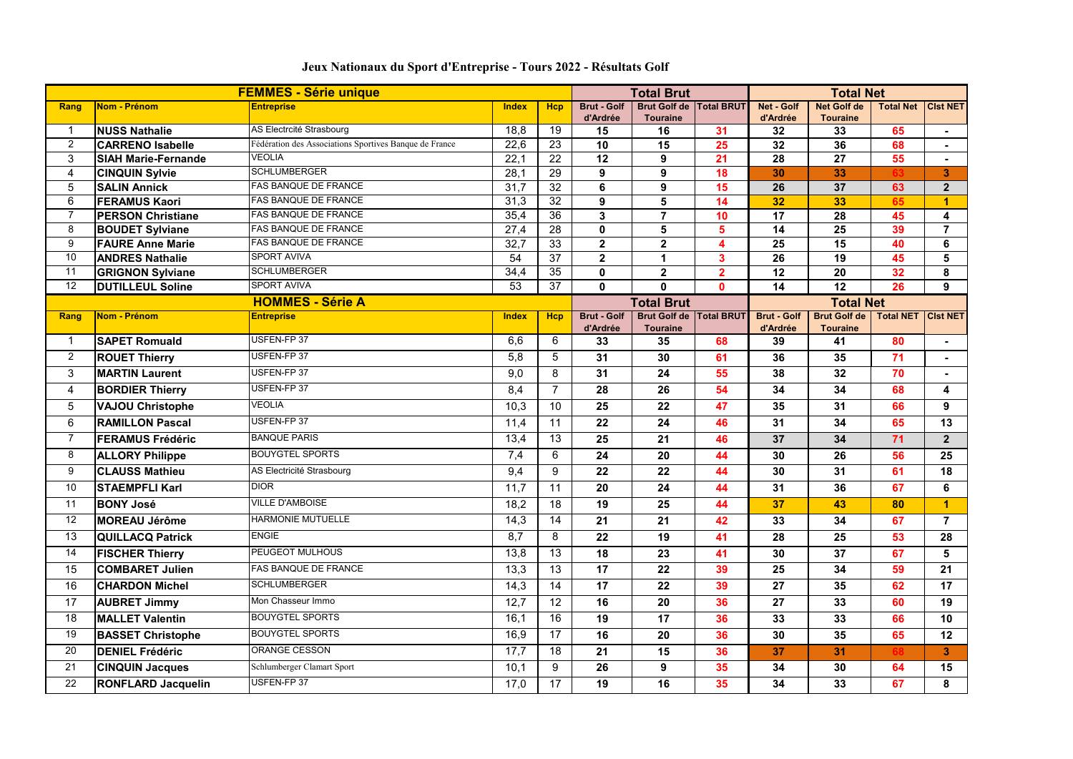| <b>FEMMES - Série unique</b> |                            |                                                        | <b>Total Brut</b> |                 |                    | <b>Total Net</b>                 |                  |                    |                       |                  |                      |
|------------------------------|----------------------------|--------------------------------------------------------|-------------------|-----------------|--------------------|----------------------------------|------------------|--------------------|-----------------------|------------------|----------------------|
| Rang                         | Nom - Prénom               | <b>Entreprise</b>                                      | <b>Index</b>      | <b>Hcp</b>      | <b>Brut - Golf</b> | Brut Golf de   Total BRUT        |                  | <b>Net - Golf</b>  | <b>Net Golf de</b>    | <b>Total Net</b> | <b>CIst NET</b>      |
| $\mathbf 1$                  | <b>NUSS Nathalie</b>       | AS Electrcité Strasbourg                               | 18,8              | 19              | d'Ardrée<br>15     | <b>Touraine</b><br>16            | 31               | d'Ardrée<br>32     | <b>Touraine</b><br>33 | 65               |                      |
| $\overline{2}$               | <b>CARRENO Isabelle</b>    | Fédération des Associations Sportives Banque de France | 22,6              | 23              | 10                 | 15                               | 25               | 32                 | 36                    | 68               |                      |
| 3                            | <b>SIAH Marie-Fernande</b> | <b>VEOLIA</b>                                          | 22,1              | 22              | 12                 | 9                                | 21               | 28                 | 27                    | 55               |                      |
| 4                            | <b>CINQUIN Sylvie</b>      | <b>SCHLUMBERGER</b>                                    | 28,1              | 29              | 9                  | 9                                | 18               | 30                 | 33                    |                  | 3 <sup>5</sup>       |
| 5                            | <b>SALIN Annick</b>        | FAS BANQUE DE FRANCE                                   | 31,7              | 32              | 6                  | 9                                | 15               | 26                 | 37                    | 63               | 2 <sup>1</sup>       |
| 6                            | <b>FERAMUS Kaori</b>       | <b>FAS BANQUE DE FRANCE</b>                            | 31,3              | 32              | 9                  | 5                                | 14               | 32                 | 33                    | 65               | $\blacktriangleleft$ |
| $\overline{7}$               | <b>PERSON Christiane</b>   | FAS BANQUE DE FRANCE                                   | 35,4              | 36              | $\overline{3}$     | $\overline{7}$                   | 10               | 17                 | 28                    | 45               | 4                    |
| 8                            | <b>BOUDET Sylviane</b>     | <b>FAS BANQUE DE FRANCE</b>                            | 27,4              | 28              | $\mathbf{0}$       | 5                                | 5                | 14                 | 25                    | 39               |                      |
| 9                            | <b>FAURE Anne Marie</b>    | <b>FAS BANQUE DE FRANCE</b>                            | 32,7              | 33              | 2 <sup>1</sup>     | $\overline{2}$                   | 4                | 25                 | 15                    | 40               | 6                    |
| 10                           | <b>ANDRES Nathalie</b>     | <b>SPORT AVIVA</b>                                     | 54                | 37              | $\overline{2}$     | 1                                | 3                | 26                 | 19                    | 45               | 5                    |
| 11                           | <b>GRIGNON Sylviane</b>    | <b>SCHLUMBERGER</b>                                    | 34,4              | 35              | $\mathbf 0$        | $\mathbf 2$                      | $\overline{2}$   | 12                 | 20                    | 32               | 8                    |
| 12                           | <b>DUTILLEUL Soline</b>    | <b>SPORT AVIVA</b>                                     | 53                | 37              | $\mathbf{0}$       | $\mathbf{0}$                     | $\mathbf{0}$     | 14                 | 12                    | 26               | 9                    |
|                              | <b>HOMMES - Série A</b>    |                                                        |                   |                 | <b>Total Brut</b>  |                                  | <b>Total Net</b> |                    |                       |                  |                      |
| Rang                         | Nom - Prénom               | <b>Entreprise</b>                                      | <b>Index</b>      | <b>Hcp</b>      | <b>Brut - Golf</b> | <b>Brut Golf de   Total BRUT</b> |                  | <b>Brut - Golf</b> | <b>Brut Golf de</b>   | <b>Total NET</b> | <b>Cist NET</b>      |
| $\mathbf 1$                  | <b>SAPET Romuald</b>       | USFEN-FP 37                                            | 6,6               | 6               | d'Ardrée<br>33     | <b>Touraine</b><br>35            | 68               | d'Ardrée<br>39     | <b>Touraine</b><br>41 | 80               | $\blacksquare$       |
|                              |                            | USFEN-FP 37                                            |                   |                 |                    |                                  |                  |                    |                       |                  |                      |
| $\overline{2}$               | <b>ROUET Thierry</b>       |                                                        | 5,8               | 5               | 31                 | 30                               | 61               | 36                 | 35                    | 71               |                      |
| $\mathbf{3}$                 | <b>MARTIN Laurent</b>      | USFEN-FP 37                                            | 9,0               | 8               | 31                 | 24                               | 55               | 38                 | 32                    | 70               |                      |
| 4                            | <b>BORDIER Thierry</b>     | USFEN-FP 37                                            | 8,4               | $\overline{7}$  | 28                 | 26                               | 54               | 34                 | 34                    | 68               | 4                    |
| 5                            | <b>VAJOU Christophe</b>    | <b>VEOLIA</b>                                          | 10,3              | 10              | 25                 | 22                               | 47               | 35                 | 31                    | 66               | 9                    |
| 6                            | <b>RAMILLON Pascal</b>     | USFEN-FP 37                                            | 11,4              | 11              | 22                 | 24                               | 46               | 31                 | 34                    | 65               | 13                   |
| $\overline{7}$               | <b>FERAMUS Frédéric</b>    | <b>BANQUE PARIS</b>                                    | 13,4              | 13              | 25                 | 21                               | 46               | 37                 | 34                    | 71               | 2 <sup>1</sup>       |
| 8                            | <b>ALLORY Philippe</b>     | <b>BOUYGTEL SPORTS</b>                                 | 7,4               | 6               | 24                 | 20                               | 44               | 30                 | 26                    | 56               | 25                   |
| 9                            | <b>CLAUSS Mathieu</b>      | AS Electricité Strasbourg                              | 9,4               | 9               | 22                 | 22                               | 44               | 30                 | 31                    | 61               | 18                   |
| 10                           | <b>STAEMPFLI Karl</b>      | <b>DIOR</b>                                            | 11,7              | 11              | 20                 | 24                               | 44               | 31                 | 36                    | 67               | 6                    |
| 11                           | <b>BONY José</b>           | <b>VILLE D'AMBOISE</b>                                 | 18,2              | 18              | 19                 | 25                               | 44               | 37                 | 43                    | 80               | $\overline{1}$       |
| 12                           | <b>MOREAU Jérôme</b>       | <b>HARMONIE MUTUELLE</b>                               | 14,3              | 14              | 21                 | 21                               | 42               | 33                 | 34                    | 67               | $\overline{7}$       |
| 13                           | <b>QUILLACQ Patrick</b>    | <b>ENGIE</b>                                           | 8,7               | 8               | 22                 | 19                               | 41               | 28                 | 25                    | 53               | 28                   |
| 14                           | <b>FISCHER Thierry</b>     | PEUGEOT MULHOUS                                        | 13,8              | 13              | 18                 | 23                               | 41               | 30                 | 37                    | 67               | 5                    |
| 15                           | <b>COMBARET Julien</b>     | FAS BANQUE DE FRANCE                                   | 13,3              | 13 <sup>°</sup> | 17                 | 22                               | 39               | 25                 | 34                    | 59               | 21                   |
|                              |                            | <b>SCHLUMBERGER</b>                                    |                   | 14              | 17                 |                                  |                  | 27                 |                       |                  | 17                   |
| 16                           | <b>CHARDON Michel</b>      |                                                        | 14,3              |                 |                    | 22                               | 39               |                    | 35                    | 62               |                      |
| 17                           | <b>AUBRET Jimmy</b>        | Mon Chasseur Immo                                      | 12,7              | 12              | 16                 | 20                               | 36               | 27                 | 33                    | 60               | 19                   |
| 18                           | <b>MALLET Valentin</b>     | <b>BOUYGTEL SPORTS</b>                                 | 16,1              | 16              | 19                 | 17                               | 36               | 33                 | 33                    | 66               | 10 <sup>°</sup>      |
| 19                           | <b>BASSET Christophe</b>   | <b>BOUYGTEL SPORTS</b>                                 | 16,9              | 17              | 16                 | 20                               | 36               | 30                 | 35                    | 65               | 12                   |
| 20                           | <b>DENIEL Frédéric</b>     | ORANGE CESSON                                          | 17,7              | 18              | 21                 | 15                               | 36               | 37                 | 31                    |                  | 3 <sup>1</sup>       |
| 21                           | <b>CINQUIN Jacques</b>     | Schlumberger Clamart Sport                             | 10,1              | 9               | 26                 | 9                                | 35               | 34                 | 30                    | 64               | 15                   |
| 22                           | <b>RONFLARD Jacquelin</b>  | USFEN-FP 37                                            | 17,0              | 17              | 19                 | 16                               | 35 <sub>5</sub>  | 34                 | 33                    | 67               | 8                    |

## **Jeux Nationaux du Sport d'Entreprise - Tours 2022 - Résultats Golf**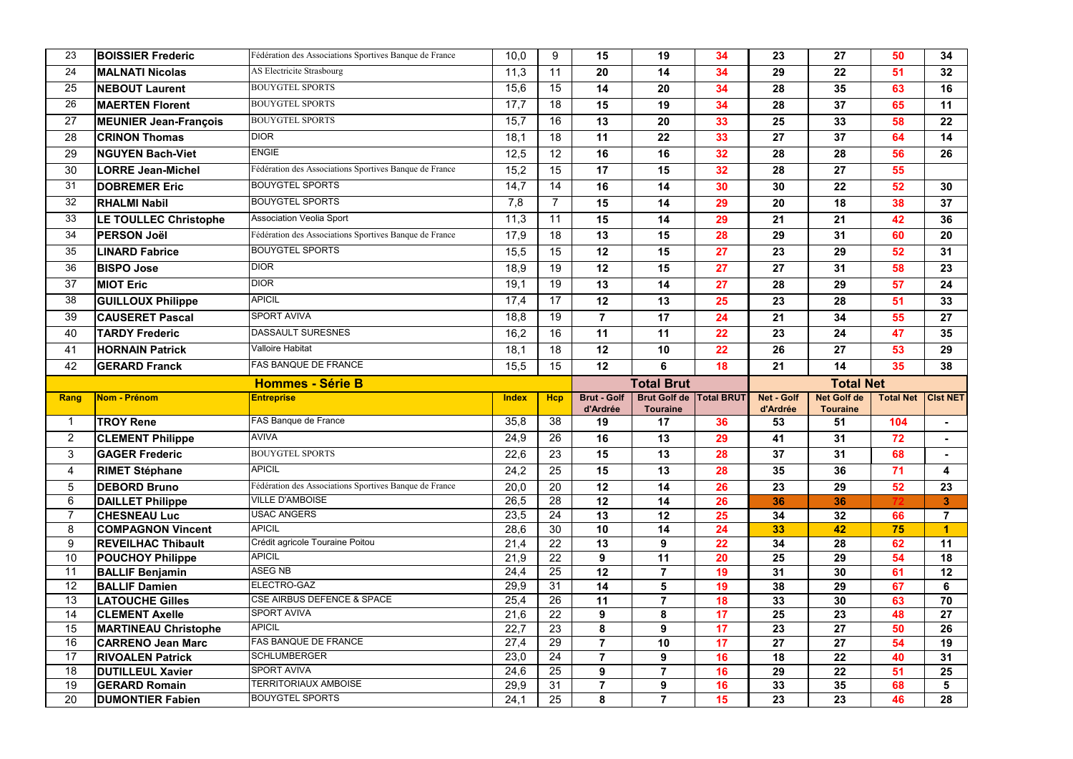| 23              | <b>BOISSIER Frederic</b>     | Fédération des Associations Sportives Banque de France | 10,0         | 9          | 15                 | 19                    | 34                | 23                | 27                    | 50               | 34                      |
|-----------------|------------------------------|--------------------------------------------------------|--------------|------------|--------------------|-----------------------|-------------------|-------------------|-----------------------|------------------|-------------------------|
| 24              | <b>MALNATI Nicolas</b>       | AS Electricite Strasbourg                              | 11,3         | 11         | 20                 | 14                    | 34                | 29                | 22                    | 51               | 32                      |
| 25              | <b>NEBOUT Laurent</b>        | <b>BOUYGTEL SPORTS</b>                                 | 15,6         | 15         | 14                 | 20                    | 34                | 28                | 35                    | 63               | 16                      |
| 26              | <b>MAERTEN Florent</b>       | <b>BOUYGTEL SPORTS</b>                                 | 17,7         | 18         | 15                 | 19                    | 34                | 28                | 37                    | 65               | 11                      |
| 27              | MEUNIER Jean-François        | <b>BOUYGTEL SPORTS</b>                                 | 15,7         | 16         | 13                 | 20                    | 33                | 25                | 33                    | 58               | 22                      |
| 28              | <b>CRINON Thomas</b>         | <b>DIOR</b>                                            | 18,1         | 18         | 11                 | 22                    | 33                | 27                | 37                    | 64               | 14                      |
| 29              | <b>NGUYEN Bach-Viet</b>      | <b>ENGIE</b>                                           | 12,5         | 12         | 16                 | 16                    | 32                | 28                | 28                    | 56               | 26                      |
| 30              | <b>LORRE Jean-Michel</b>     | Fédération des Associations Sportives Banque de France | 15,2         | 15         | 17                 | 15                    | 32                | 28                | 27                    | 55               |                         |
| 31              | <b>DOBREMER Eric</b>         | <b>BOUYGTEL SPORTS</b>                                 | 14,7         | 14         | 16                 | 14                    | 30                | 30                | 22                    | 52               | 30                      |
| 32              | <b>RHALMI Nabil</b>          | <b>BOUYGTEL SPORTS</b>                                 | 7,8          | 7          | 15                 | 14                    | 29                | 20                | 18                    | 38               | 37                      |
| 33              | <b>LE TOULLEC Christophe</b> | Association Veolia Sport                               | 11,3         | 11         | 15                 | 14                    | 29                | 21                | 21                    | 42               | 36                      |
| 34              | <b>PERSON Joël</b>           | Fédération des Associations Sportives Banque de France | 17,9         | 18         | 13                 | 15                    | 28                | 29                | 31                    | 60               | 20                      |
| 35              | <b>LINARD Fabrice</b>        | <b>BOUYGTEL SPORTS</b>                                 | 15,5         | 15         | 12                 | 15                    | 27                | 23                | 29                    | 52               | 31                      |
| 36              | <b>BISPO Jose</b>            | <b>DIOR</b>                                            | 18,9         | 19         | 12                 | 15                    | 27                | 27                | 31                    | 58               | 23                      |
| 37              | <b>MIOT Eric</b>             | <b>DIOR</b>                                            | 19,1         | 19         | 13                 | 14                    | 27                | 28                | 29                    | 57               | 24                      |
| 38              | <b>GUILLOUX Philippe</b>     | <b>APICIL</b>                                          | 17,4         | 17         | 12                 | 13                    | 25                | 23                | 28                    | 51               | 33                      |
| 39              | <b>CAUSERET Pascal</b>       | <b>SPORT AVIVA</b>                                     | 18,8         | 19         | $\overline{7}$     | 17                    | 24                | 21                | 34                    | 55               | 27                      |
| 40              | <b>TARDY Frederic</b>        | <b>DASSAULT SURESNES</b>                               | 16,2         | 16         | 11                 | 11                    | 22                | 23                | 24                    | 47               | 35                      |
| 41              | <b>HORNAIN Patrick</b>       | Valloire Habitat                                       | 18,1         | 18         | 12                 | 10                    | 22                | 26                | 27                    | 53               | 29                      |
| 42              | <b>GERARD Franck</b>         | <b>FAS BANQUE DE FRANCE</b>                            | 15,5         | 15         | 12                 | 6                     | 18                | 21                | 14                    | 35               | 38                      |
|                 | <b>Hommes - Série B</b>      |                                                        |              |            | <b>Total Brut</b>  |                       |                   | <b>Total Net</b>  |                       |                  |                         |
|                 |                              |                                                        |              |            |                    |                       |                   |                   |                       |                  |                         |
| Rang            | Nom - Prénom                 | <b>Entreprise</b>                                      | <b>Index</b> | <b>Hcp</b> | <b>Brut - Golf</b> | <b>Brut Golf de</b>   | <b>Total BRUT</b> | <b>Net - Golf</b> | <b>Net Golf de</b>    | <b>Total Net</b> | <b>CIst NET</b>         |
|                 | <b>TROY Rene</b>             | FAS Banque de France                                   | 35,8         | 38         | d'Ardrée<br>19     | <b>Touraine</b><br>17 | 36                | d'Ardrée<br>53    | <b>Touraine</b><br>51 | 104              | $\blacksquare$          |
| $\overline{2}$  | <b>CLEMENT Philippe</b>      | <b>AVIVA</b>                                           | 24,9         | 26         | 16                 | 13                    | 29                | 41                | 31                    | 72               | ۰.                      |
| 3               | <b>GAGER Frederic</b>        | <b>BOUYGTEL SPORTS</b>                                 | 22,6         | 23         | 15                 | 13                    | 28                | 37                | 31                    | 68               |                         |
| 4               | <b>RIMET Stéphane</b>        | <b>APICIL</b>                                          | 24,2         | 25         | 15                 | 13                    | 28                | 35                | 36                    | 71               | $\overline{\mathbf{4}}$ |
| $5\overline{)}$ | <b>DEBORD Bruno</b>          | Fédération des Associations Sportives Banque de France | 20,0         | 20         | 12                 | 14                    | 26                | 23                | 29                    | 52               | 23                      |
| 6               | <b>DAILLET Philippe</b>      | <b>VILLE D'AMBOISE</b>                                 | 26,5         | 28         | 12                 | 14                    | 26                | 36                | 36                    |                  | 3 <sup>1</sup>          |
| $\overline{7}$  | <b>CHESNEAU Luc</b>          | <b>USAC ANGERS</b>                                     | 23,5         | 24         | 13                 | 12                    | 25                | 34                | 32                    | 66               | $\overline{7}$          |
| 8               | <b>COMPAGNON Vincent</b>     | <b>APICIL</b>                                          | 28,6         | 30         | 10                 | 14                    | 24                | 33                | 42                    | 75               |                         |
| 9               | <b>REVEILHAC Thibault</b>    | Crédit agricole Touraine Poitou                        | 21,4         | 22         | 13                 | 9                     | 22                | 34                | 28                    | 62               | 11                      |
| 10              | <b>POUCHOY Philippe</b>      | <b>APICIL</b>                                          | 21,9         | 22         | 9                  | 11                    | 20                | 25                | 29                    | 54               | 18                      |
| 11              | <b>BALLIF Benjamin</b>       | <b>ASEG NB</b>                                         | 24,4         | 25         | 12                 | 7                     | 19                | 31                | 30                    | 61               | 12                      |
| 12              | <b>BALLIF Damien</b>         | ELECTRO-GAZ                                            | 29,9         | 31         | 14                 | 5                     | 19                | 38                | 29                    | 67               | 6                       |
| 13              | <b>LATOUCHE Gilles</b>       | <b>CSE AIRBUS DEFENCE &amp; SPACE</b>                  | 25,4         | 26         | 11                 | $\overline{7}$        | 18                | 33                | 30                    | 63               | 70                      |
| 14              | <b>CLEMENT Axelle</b>        | <b>SPORT AVIVA</b>                                     | 21,6         | 22         | 9                  | 8                     | 17                | 25                | 23                    | 48               | 27                      |
| 15              | <b>MARTINEAU Christophe</b>  | <b>APICIL</b>                                          | 22,7         | 23         | 8                  | 9                     | 17                | 23                | 27                    | 50               | 26                      |
| 16              | <b>CARRENO Jean Marc</b>     | <b>FAS BANQUE DE FRANCE</b>                            | 27,4         | 29         |                    | 10                    | 17                | 27                | 27                    | 54               | 19                      |
| 17              | <b>RIVOALEN Patrick</b>      | <b>SCHLUMBERGER</b>                                    | 23,0         | 24         | $\overline{7}$     | 9                     | 16                | 18                | 22                    | 40               | 31                      |
| 18              | <b>DUTILLEUL Xavier</b>      | <b>SPORT AVIVA</b>                                     | 24,6         | 25         | 9                  | $\overline{7}$        | 16                | 29                | 22                    | 51               | 25                      |
| 19              | <b>GERARD Romain</b>         | TERRITORIAUX AMBOISE<br><b>BOUYGTEL SPORTS</b>         | 29,9         | 31         |                    | 9                     | 16                | 33                | 35                    | 68               | 5                       |